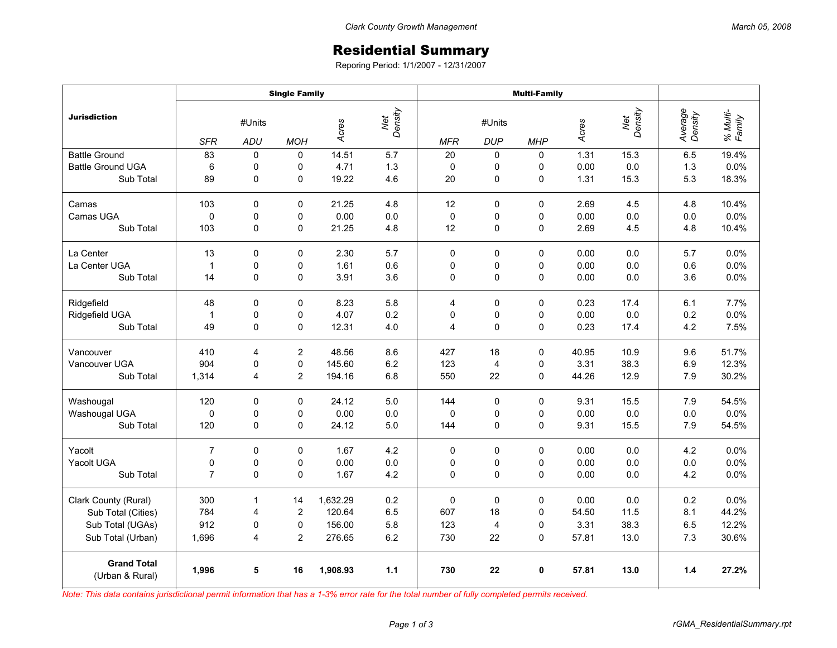## Residential Summary

Reporing Period: 1/1/2007 - 12/31/2007

|                                       | <b>Single Family</b> |              |                |                         |         | <b>Multi-Family</b> |             |             |       |                |                    |                    |
|---------------------------------------|----------------------|--------------|----------------|-------------------------|---------|---------------------|-------------|-------------|-------|----------------|--------------------|--------------------|
| <b>Jurisdiction</b>                   | #Units               |              |                | Net<br>Density<br>Acres |         | #Units              |             |             | Acres | Net<br>Density | Average<br>Density | % Multi-<br>Family |
|                                       | <b>SFR</b>           | <b>ADU</b>   | <b>MOH</b>     |                         |         | <b>MFR</b>          | <b>DUP</b>  | <b>MHP</b>  |       |                |                    |                    |
| <b>Battle Ground</b>                  | 83                   | $\Omega$     | $\mathbf 0$    | 14.51                   | 5.7     | 20                  | 0           | $\Omega$    | 1.31  | 15.3           | 6.5                | 19.4%              |
| <b>Battle Ground UGA</b>              | 6                    | 0            | 0              | 4.71                    | 1.3     | $\mathbf 0$         | 0           | 0           | 0.00  | 0.0            | 1.3                | 0.0%               |
| Sub Total                             | 89                   | 0            | 0              | 19.22                   | 4.6     | 20                  | $\mathsf 0$ | 0           | 1.31  | 15.3           | 5.3                | 18.3%              |
| Camas                                 | 103                  | $\mathbf 0$  | 0              | 21.25                   | 4.8     | 12                  | 0           | $\Omega$    | 2.69  | 4.5            | 4.8                | 10.4%              |
| Camas UGA                             | $\mathbf 0$          | $\mathbf 0$  | 0              | 0.00                    | 0.0     | $\Omega$            | 0           | $\mathbf 0$ | 0.00  | 0.0            | 0.0                | 0.0%               |
| Sub Total                             | 103                  | $\mathbf 0$  | 0              | 21.25                   | 4.8     | 12                  | 0           | 0           | 2.69  | 4.5            | 4.8                | 10.4%              |
| La Center                             | 13                   | $\mathbf 0$  | $\mathbf 0$    | 2.30                    | 5.7     | $\Omega$            | 0           | 0           | 0.00  | 0.0            | 5.7                | 0.0%               |
| La Center UGA                         | $\mathbf{1}$         | 0            | 0              | 1.61                    | 0.6     | 0                   | 0           | 0           | 0.00  | 0.0            | 0.6                | 0.0%               |
| Sub Total                             | 14                   | 0            | $\mathbf 0$    | 3.91                    | 3.6     | 0                   | 0           | $\mathbf 0$ | 0.00  | 0.0            | 3.6                | 0.0%               |
| Ridgefield                            | 48                   | 0            | 0              | 8.23                    | 5.8     | 4                   | 0           | 0           | 0.23  | 17.4           | 6.1                | 7.7%               |
| Ridgefield UGA                        | $\mathbf{1}$         | 0            | 0              | 4.07                    | 0.2     | 0                   | 0           | $\Omega$    | 0.00  | 0.0            | 0.2                | 0.0%               |
| Sub Total                             | 49                   | 0            | 0              | 12.31                   | 4.0     | 4                   | 0           | 0           | 0.23  | 17.4           | 4.2                | 7.5%               |
| Vancouver                             | 410                  | 4            | $\overline{c}$ | 48.56                   | 8.6     | 427                 | 18          | $\Omega$    | 40.95 | 10.9           | 9.6                | 51.7%              |
| Vancouver UGA                         | 904                  | 0            | 0              | 145.60                  | 6.2     | 123                 | 4           | 0           | 3.31  | 38.3           | 6.9                | 12.3%              |
| Sub Total                             | 1,314                | 4            | $\overline{2}$ | 194.16                  | 6.8     | 550                 | 22          | $\Omega$    | 44.26 | 12.9           | 7.9                | 30.2%              |
| Washougal                             | 120                  | 0            | 0              | 24.12                   | 5.0     | 144                 | 0           | 0           | 9.31  | 15.5           | 7.9                | 54.5%              |
| Washougal UGA                         | $\mathbf 0$          | 0            | 0              | 0.00                    | 0.0     | $\Omega$            | 0           | 0           | 0.00  | 0.0            | 0.0                | 0.0%               |
| Sub Total                             | 120                  | 0            | $\mathbf 0$    | 24.12                   | 5.0     | 144                 | 0           | 0           | 9.31  | 15.5           | 7.9                | 54.5%              |
| Yacolt                                | $\overline{7}$       | $\Omega$     | $\mathbf 0$    | 1.67                    | 4.2     | $\mathbf 0$         | 0           | $\Omega$    | 0.00  | 0.0            | 4.2                | 0.0%               |
| Yacolt UGA                            | 0                    | 0            | 0              | 0.00                    | 0.0     | 0                   | 0           | 0           | 0.00  | 0.0            | 0.0                | 0.0%               |
| Sub Total                             | $\overline{7}$       | $\mathbf 0$  | 0              | 1.67                    | 4.2     | $\mathbf 0$         | 0           | 0           | 0.00  | 0.0            | 4.2                | 0.0%               |
| Clark County (Rural)                  | 300                  | $\mathbf{1}$ | 14             | 1,632.29                | 0.2     | $\mathbf 0$         | $\pmb{0}$   | 0           | 0.00  | 0.0            | 0.2                | 0.0%               |
| Sub Total (Cities)                    | 784                  | 4            | $\overline{2}$ | 120.64                  | 6.5     | 607                 | 18          | $\mathbf 0$ | 54.50 | 11.5           | 8.1                | 44.2%              |
| Sub Total (UGAs)                      | 912                  | 0            | 0              | 156.00                  | 5.8     | 123                 | 4           | 0           | 3.31  | 38.3           | 6.5                | 12.2%              |
| Sub Total (Urban)                     | 1,696                | 4            | $\overline{c}$ | 276.65                  | $6.2\,$ | 730                 | 22          | 0           | 57.81 | 13.0           | 7.3                | 30.6%              |
| <b>Grand Total</b><br>(Urban & Rural) | 1,996                | 5            | 16             | 1,908.93                | 1.1     | 730                 | 22          | $\mathbf 0$ | 57.81 | 13.0           | 1.4                | 27.2%              |

*Note: This data contains jurisdictional permit information that has a 1-3% error rate for the total number of fully completed permits received.*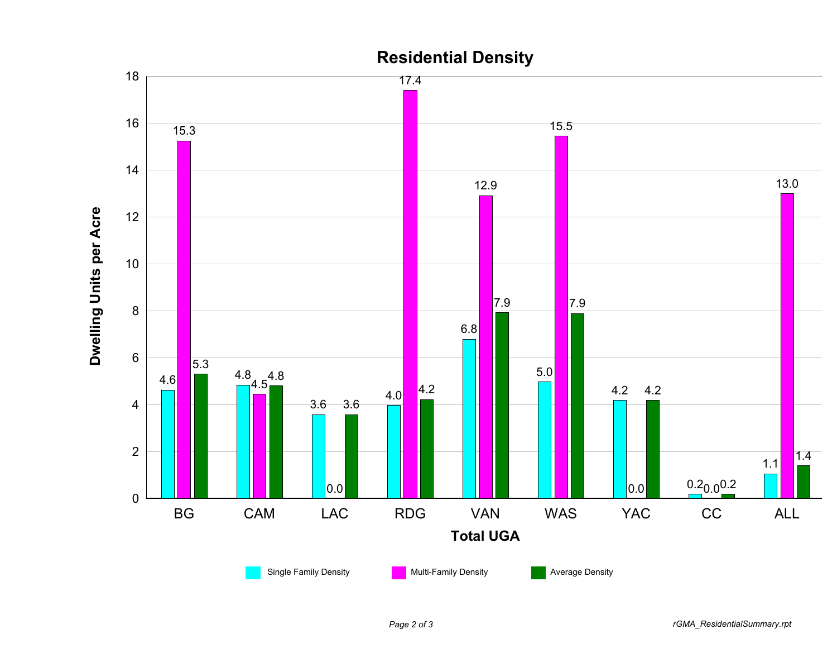

## **Residential Density**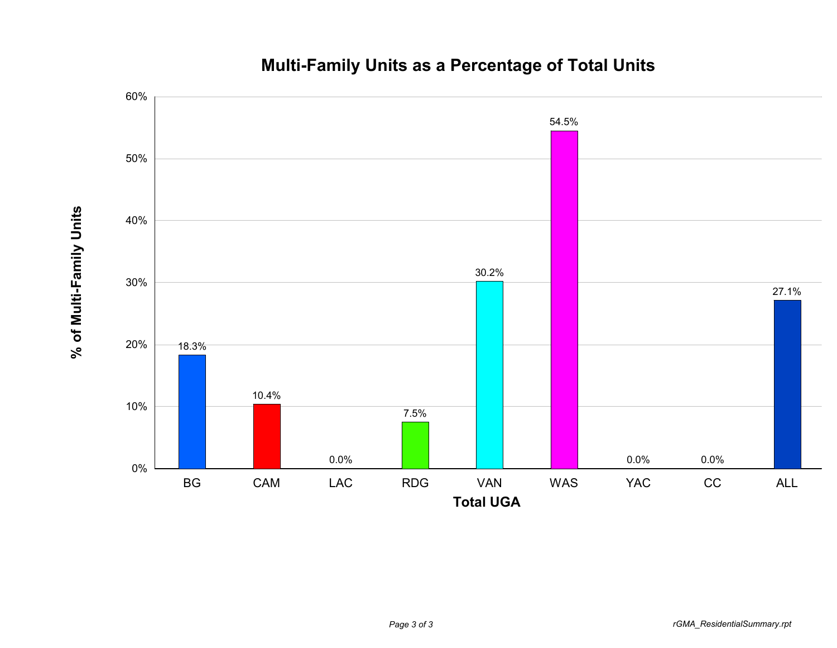

**% of Multi-Family Units**

% of Multi-Family Units

## **Multi-Family Units as a Percentage of Total Units**